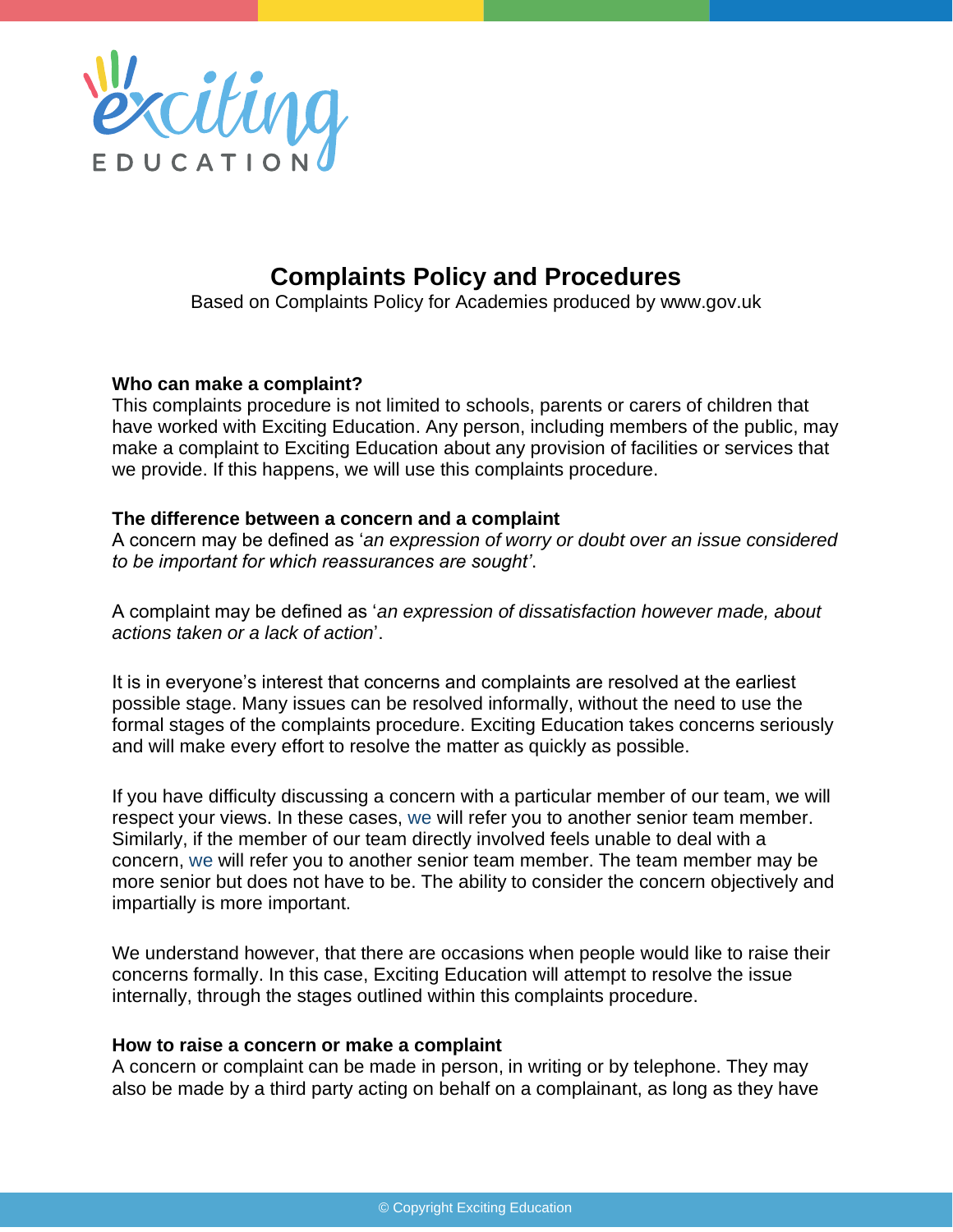

# **Complaints Policy and Procedures**

Based on Complaints Policy for Academies produced by www.gov.uk

#### **Who can make a complaint?**

This complaints procedure is not limited to schools, parents or carers of children that have worked with Exciting Education. Any person, including members of the public, may make a complaint to Exciting Education about any provision of facilities or services that we provide. If this happens, we will use this complaints procedure.

#### **The difference between a concern and a complaint**

A concern may be defined as '*an expression of worry or doubt over an issue considered to be important for which reassurances are sought'*.

A complaint may be defined as '*an expression of dissatisfaction however made, about actions taken or a lack of action*'.

It is in everyone's interest that concerns and complaints are resolved at the earliest possible stage. Many issues can be resolved informally, without the need to use the formal stages of the complaints procedure. Exciting Education takes concerns seriously and will make every effort to resolve the matter as quickly as possible.

If you have difficulty discussing a concern with a particular member of our team, we will respect your views. In these cases, we will refer you to another senior team member. Similarly, if the member of our team directly involved feels unable to deal with a concern, we will refer you to another senior team member. The team member may be more senior but does not have to be. The ability to consider the concern objectively and impartially is more important.

We understand however, that there are occasions when people would like to raise their concerns formally. In this case, Exciting Education will attempt to resolve the issue internally, through the stages outlined within this complaints procedure.

#### **How to raise a concern or make a complaint**

A concern or complaint can be made in person, in writing or by telephone. They may also be made by a third party acting on behalf on a complainant, as long as they have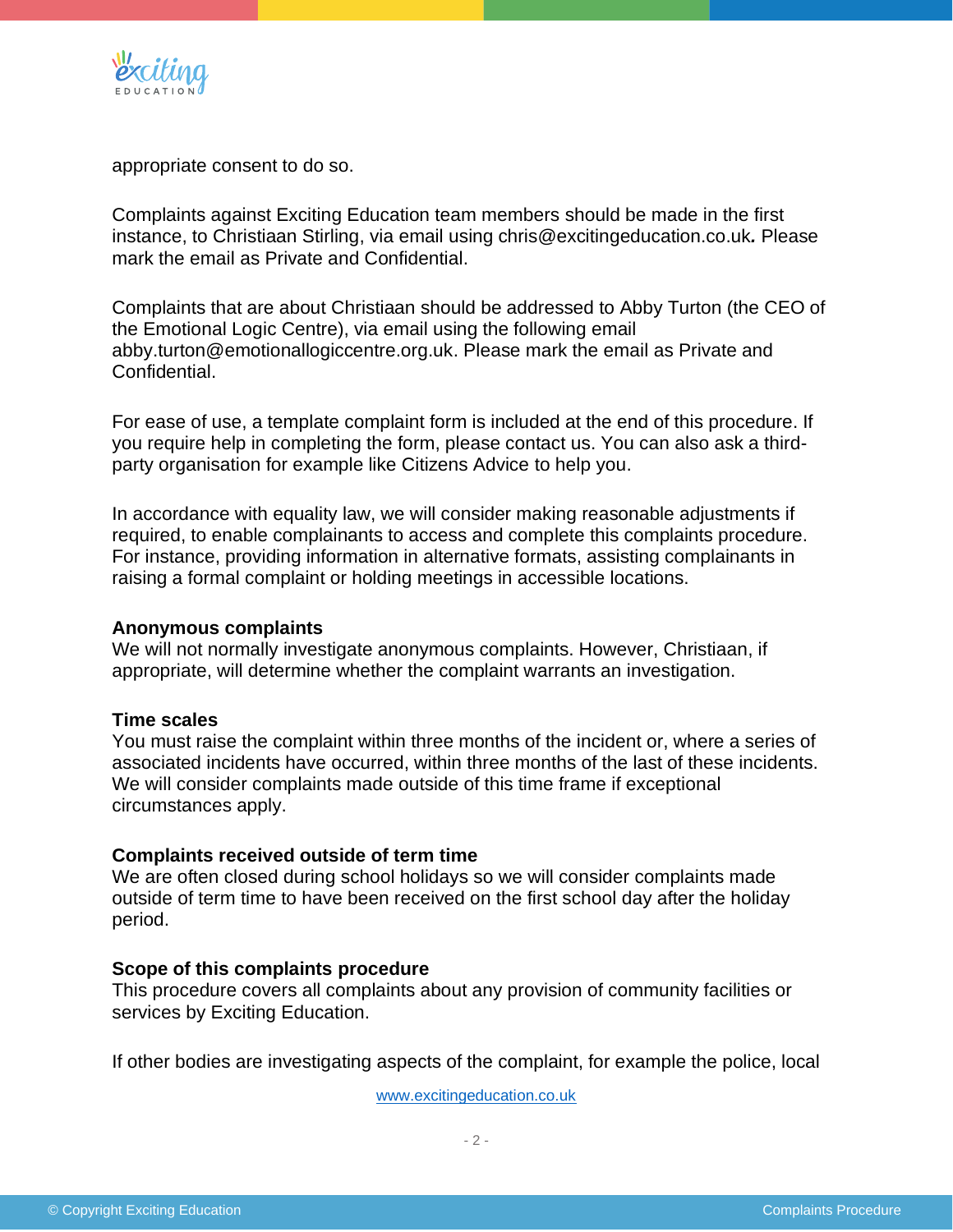

appropriate consent to do so.

Complaints against Exciting Education team members should be made in the first instance, to Christiaan Stirling, via email using chris@excitingeducation.co.uk*.* Please mark the email as Private and Confidential.

Complaints that are about Christiaan should be addressed to Abby Turton (the CEO of the Emotional Logic Centre), via email using the following email abby.turton@emotionallogiccentre.org.uk. Please mark the email as Private and Confidential.

For ease of use, a template complaint form is included at the end of this procedure. If you require help in completing the form, please contact us. You can also ask a thirdparty organisation for example like Citizens Advice to help you.

In accordance with equality law, we will consider making reasonable adjustments if required, to enable complainants to access and complete this complaints procedure. For instance, providing information in alternative formats, assisting complainants in raising a formal complaint or holding meetings in accessible locations.

#### **Anonymous complaints**

We will not normally investigate anonymous complaints. However, Christiaan, if appropriate, will determine whether the complaint warrants an investigation.

#### **Time scales**

You must raise the complaint within three months of the incident or, where a series of associated incidents have occurred, within three months of the last of these incidents. We will consider complaints made outside of this time frame if exceptional circumstances apply.

#### **Complaints received outside of term time**

We are often closed during school holidays so we will consider complaints made outside of term time to have been received on the first school day after the holiday period.

#### **Scope of this complaints procedure**

This procedure covers all complaints about any provision of community facilities or services by Exciting Education.

If other bodies are investigating aspects of the complaint, for example the police, local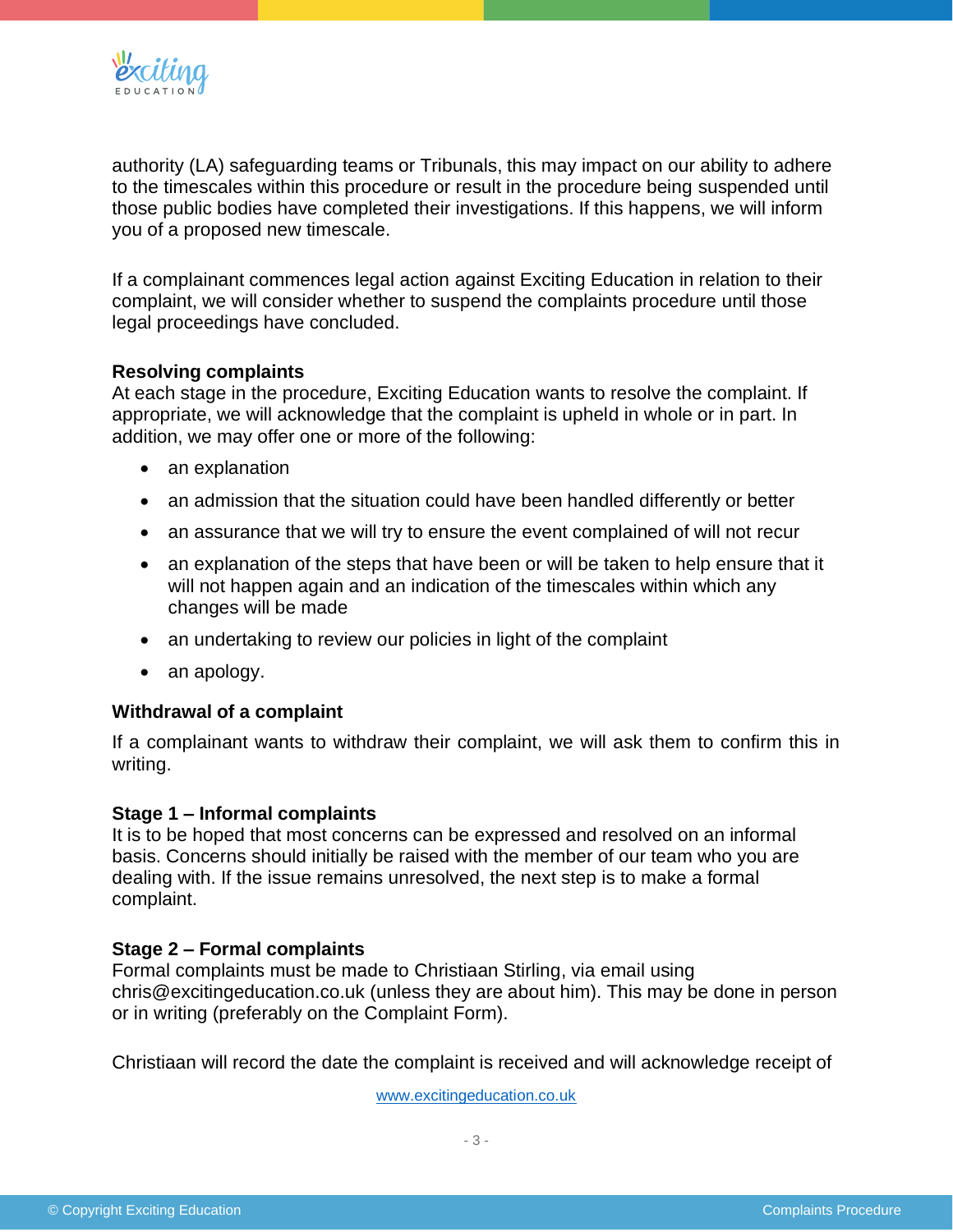

authority (LA) safeguarding teams or Tribunals, this may impact on our ability to adhere to the timescales within this procedure or result in the procedure being suspended until those public bodies have completed their investigations. If this happens, we will inform you of a proposed new timescale.

If a complainant commences legal action against Exciting Education in relation to their complaint, we will consider whether to suspend the complaints procedure until those legal proceedings have concluded.

#### **Resolving complaints**

At each stage in the procedure, Exciting Education wants to resolve the complaint. If appropriate, we will acknowledge that the complaint is upheld in whole or in part. In addition, we may offer one or more of the following:

- an explanation
- an admission that the situation could have been handled differently or better
- an assurance that we will try to ensure the event complained of will not recur
- an explanation of the steps that have been or will be taken to help ensure that it will not happen again and an indication of the timescales within which any changes will be made
- an undertaking to review our policies in light of the complaint
- an apology.

#### **Withdrawal of a complaint**

If a complainant wants to withdraw their complaint, we will ask them to confirm this in writing.

#### **Stage 1 – Informal complaints**

It is to be hoped that most concerns can be expressed and resolved on an informal basis. Concerns should initially be raised with the member of our team who you are dealing with. If the issue remains unresolved, the next step is to make a formal complaint.

# **Stage 2 – Formal complaints**

Formal complaints must be made to Christiaan Stirling, via email using chris@excitingeducation.co.uk (unless they are about him). This may be done in person or in writing (preferably on the Complaint Form).

Christiaan will record the date the complaint is received and will acknowledge receipt of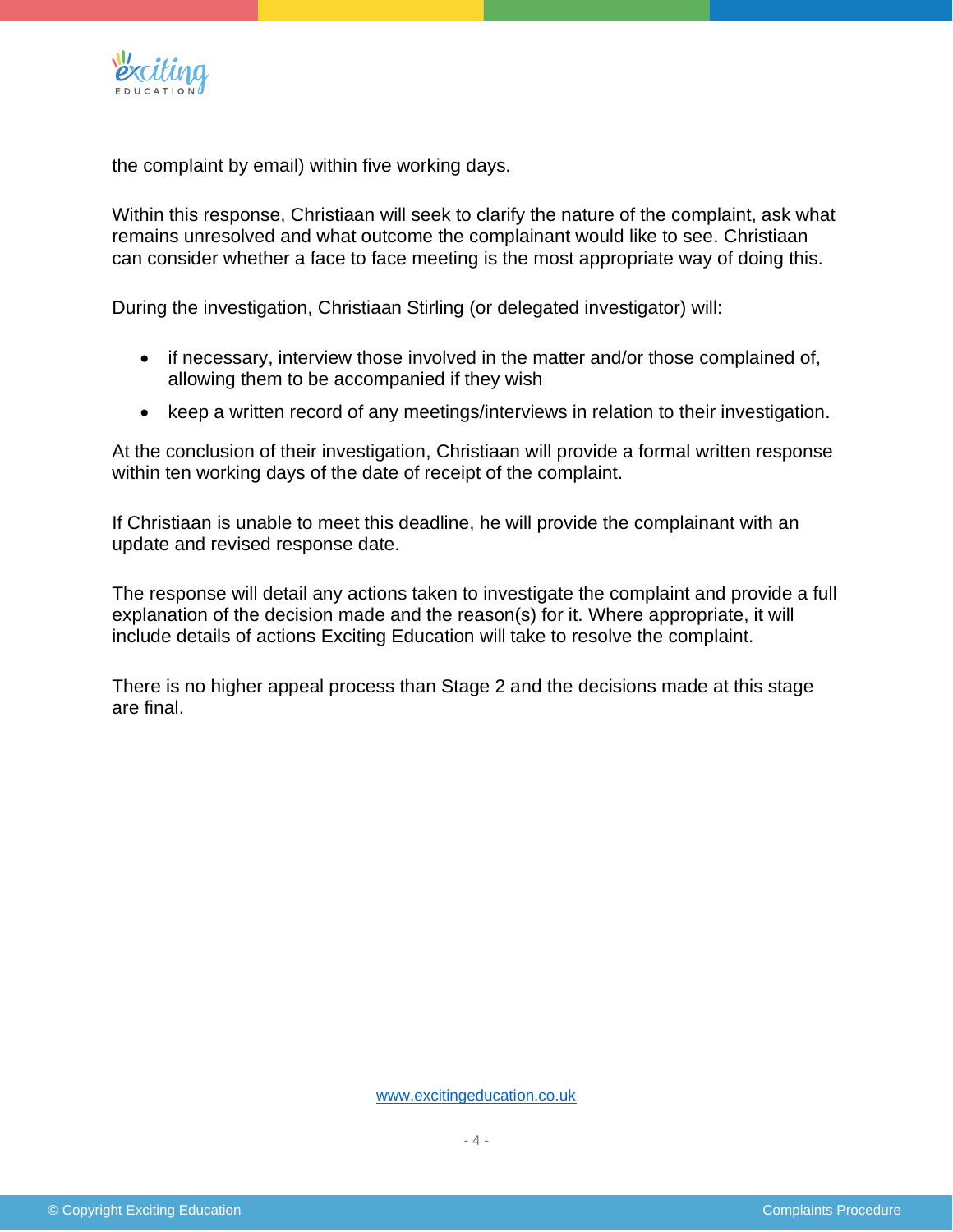

the complaint by email) within five working days.

Within this response, Christiaan will seek to clarify the nature of the complaint, ask what remains unresolved and what outcome the complainant would like to see. Christiaan can consider whether a face to face meeting is the most appropriate way of doing this.

During the investigation, Christiaan Stirling (or delegated investigator) will:

- if necessary, interview those involved in the matter and/or those complained of, allowing them to be accompanied if they wish
- keep a written record of any meetings/interviews in relation to their investigation.

At the conclusion of their investigation, Christiaan will provide a formal written response within ten working days of the date of receipt of the complaint.

If Christiaan is unable to meet this deadline, he will provide the complainant with an update and revised response date.

The response will detail any actions taken to investigate the complaint and provide a full explanation of the decision made and the reason(s) for it. Where appropriate, it will include details of actions Exciting Education will take to resolve the complaint.

There is no higher appeal process than Stage 2 and the decisions made at this stage are final.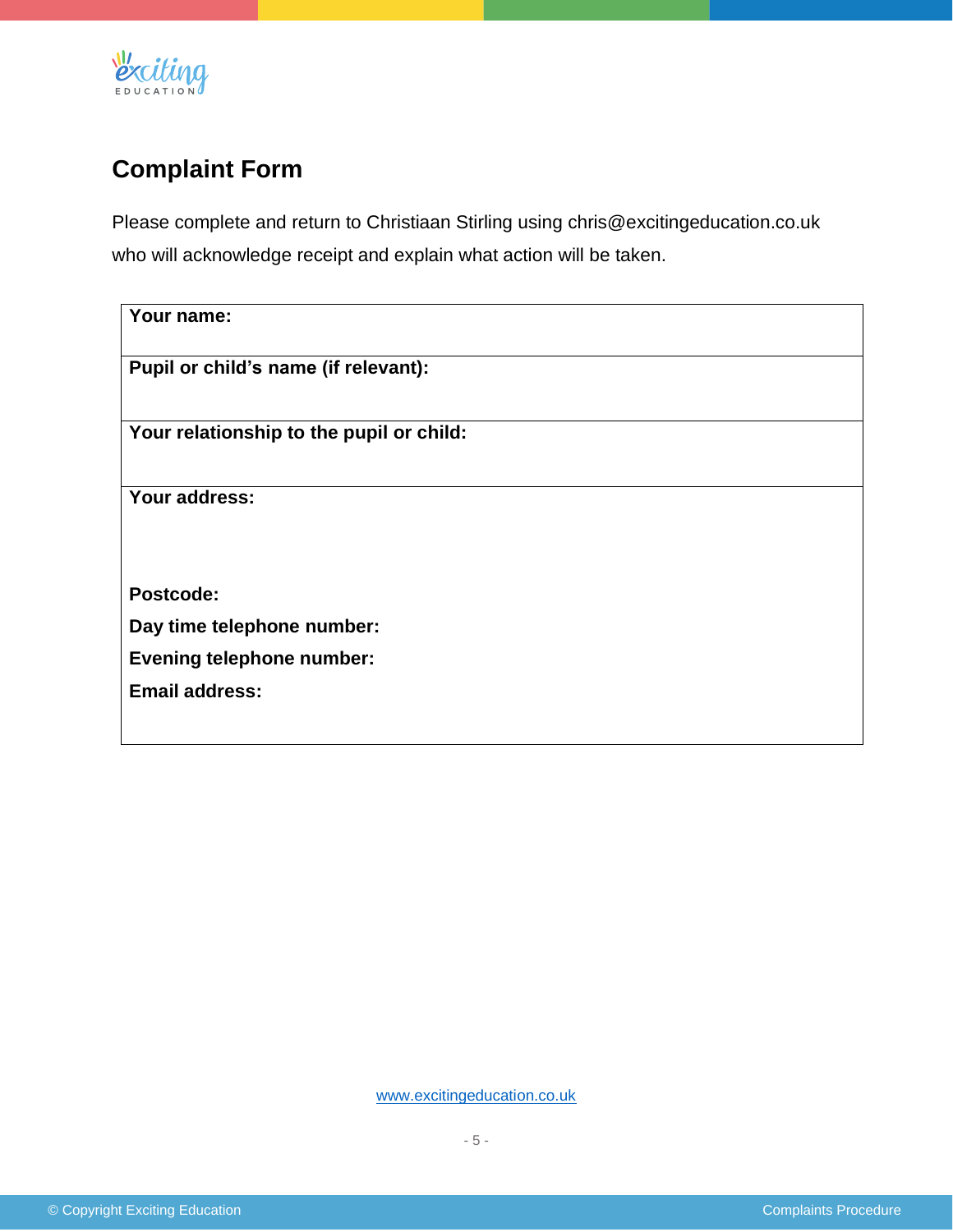

# **Complaint Form**

Please complete and return to Christiaan Stirling using chris@excitingeducation.co.uk who will acknowledge receipt and explain what action will be taken.

| Your name:                               |  |  |  |  |
|------------------------------------------|--|--|--|--|
|                                          |  |  |  |  |
|                                          |  |  |  |  |
| Pupil or child's name (if relevant):     |  |  |  |  |
|                                          |  |  |  |  |
|                                          |  |  |  |  |
| Your relationship to the pupil or child: |  |  |  |  |
|                                          |  |  |  |  |
|                                          |  |  |  |  |
| Your address:                            |  |  |  |  |
|                                          |  |  |  |  |
|                                          |  |  |  |  |
|                                          |  |  |  |  |
|                                          |  |  |  |  |
| Postcode:                                |  |  |  |  |
|                                          |  |  |  |  |
| Day time telephone number:               |  |  |  |  |
| <b>Evening telephone number:</b>         |  |  |  |  |
|                                          |  |  |  |  |
| <b>Email address:</b>                    |  |  |  |  |
|                                          |  |  |  |  |
|                                          |  |  |  |  |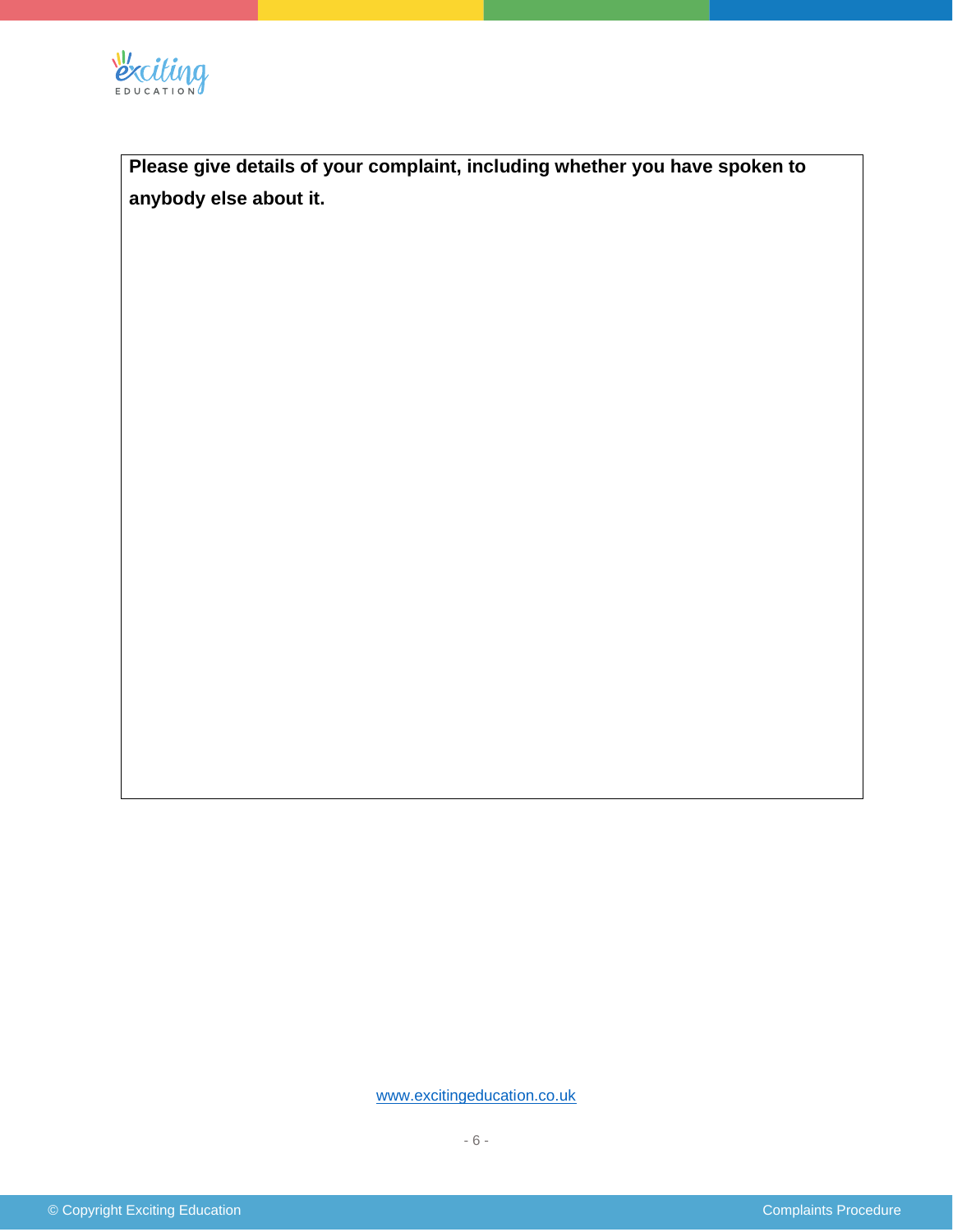

**Please give details of your complaint, including whether you have spoken to anybody else about it.**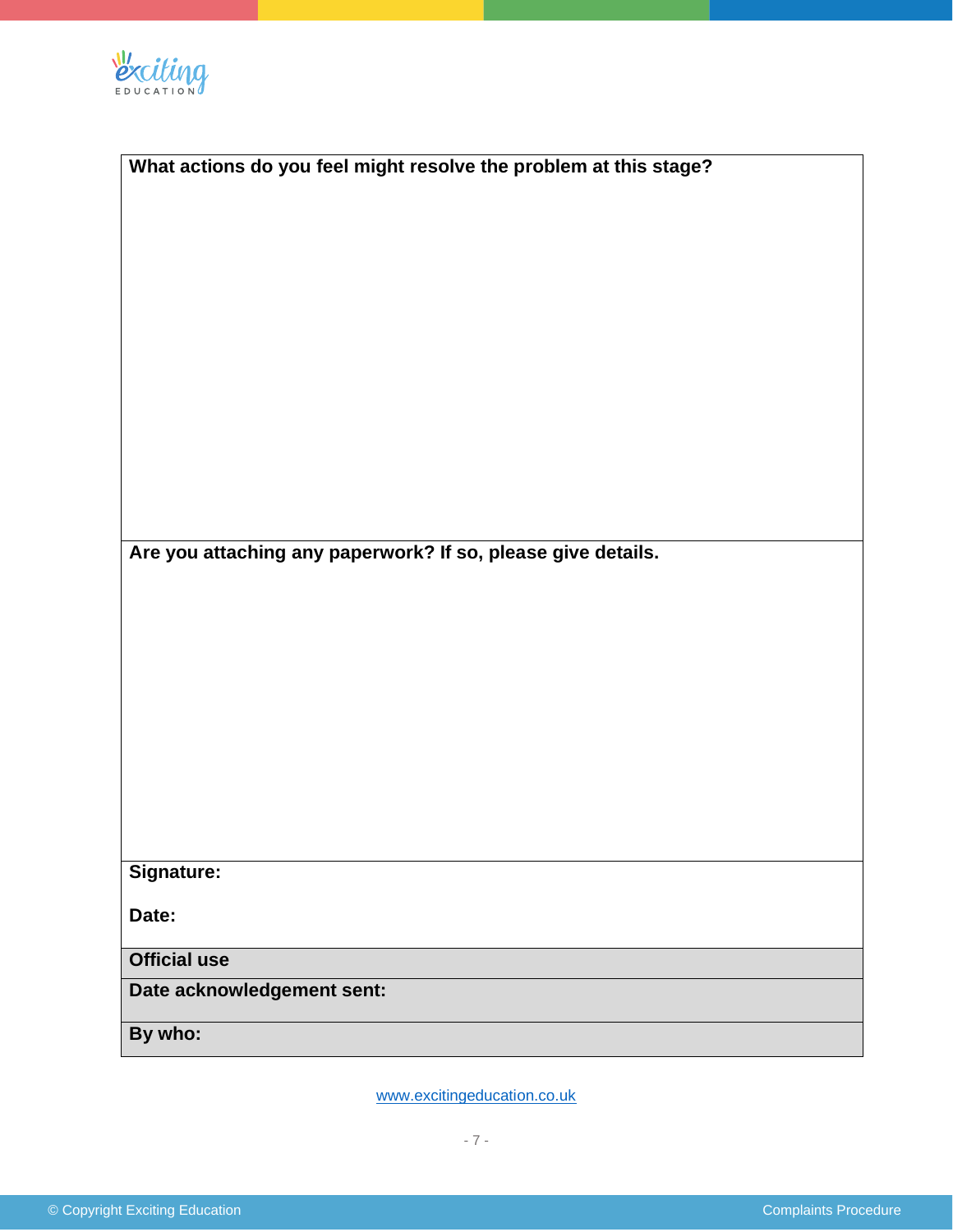

| What actions do you feel might resolve the problem at this stage? |  |  |  |  |
|-------------------------------------------------------------------|--|--|--|--|
|                                                                   |  |  |  |  |
|                                                                   |  |  |  |  |
|                                                                   |  |  |  |  |
|                                                                   |  |  |  |  |
|                                                                   |  |  |  |  |
|                                                                   |  |  |  |  |
|                                                                   |  |  |  |  |
|                                                                   |  |  |  |  |
|                                                                   |  |  |  |  |
|                                                                   |  |  |  |  |
| Are you attaching any paperwork? If so, please give details.      |  |  |  |  |
|                                                                   |  |  |  |  |
|                                                                   |  |  |  |  |
|                                                                   |  |  |  |  |
|                                                                   |  |  |  |  |
|                                                                   |  |  |  |  |
|                                                                   |  |  |  |  |
|                                                                   |  |  |  |  |
|                                                                   |  |  |  |  |
| <b>Signature:</b>                                                 |  |  |  |  |
|                                                                   |  |  |  |  |
| Date:                                                             |  |  |  |  |
| <b>Official use</b>                                               |  |  |  |  |
| Date acknowledgement sent:                                        |  |  |  |  |
| By who:                                                           |  |  |  |  |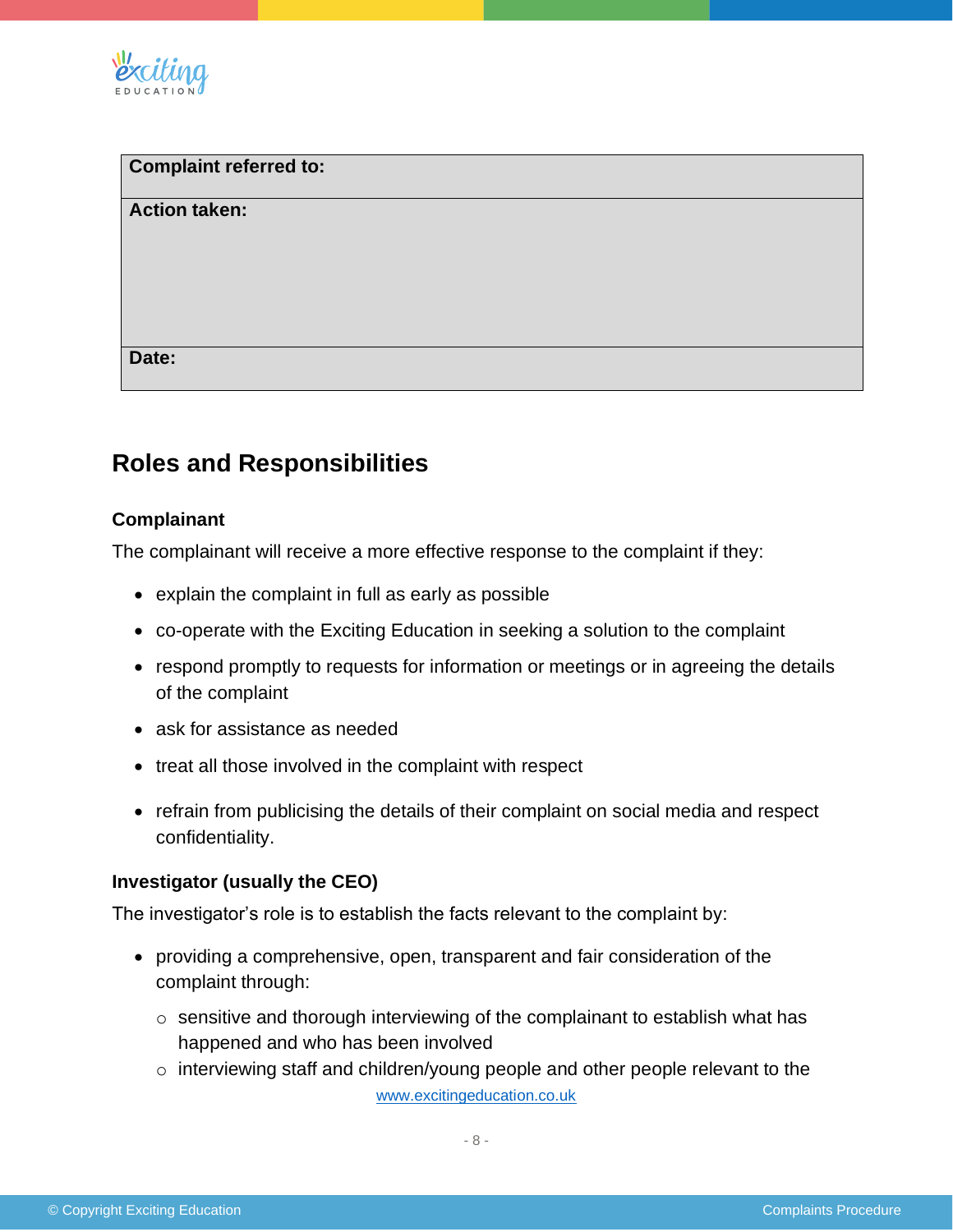

| Complaint referred to: |  |  |
|------------------------|--|--|
| <b>Action taken:</b>   |  |  |
|                        |  |  |
|                        |  |  |
|                        |  |  |
| Date:                  |  |  |

# **Roles and Responsibilities**

# **Complainant**

The complainant will receive a more effective response to the complaint if they:

- explain the complaint in full as early as possible
- co-operate with the Exciting Education in seeking a solution to the complaint
- respond promptly to requests for information or meetings or in agreeing the details of the complaint
- ask for assistance as needed
- treat all those involved in the complaint with respect
- refrain from publicising the details of their complaint on social media and respect confidentiality.

# **Investigator (usually the CEO)**

The investigator's role is to establish the facts relevant to the complaint by:

- providing a comprehensive, open, transparent and fair consideration of the complaint through:
	- o sensitive and thorough interviewing of the complainant to establish what has happened and who has been involved
	- [www.excitingeducation.co.uk](http://www.excitingeducation.co.uk/) o interviewing staff and children/young people and other people relevant to the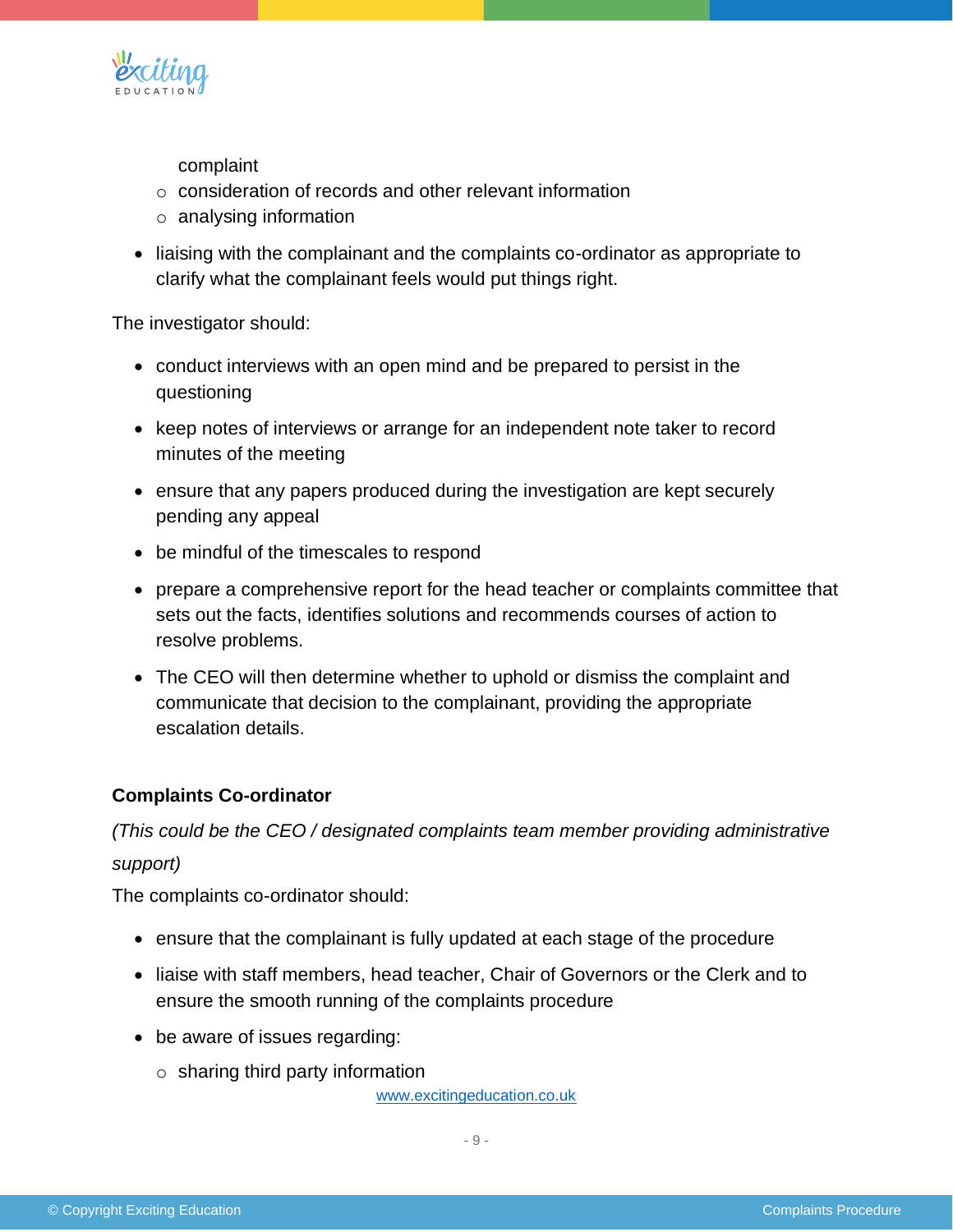

complaint

- o consideration of records and other relevant information
- o analysing information
- liaising with the complainant and the complaints co-ordinator as appropriate to clarify what the complainant feels would put things right.

The investigator should:

- conduct interviews with an open mind and be prepared to persist in the questioning
- keep notes of interviews or arrange for an independent note taker to record minutes of the meeting
- ensure that any papers produced during the investigation are kept securely pending any appeal
- be mindful of the timescales to respond
- prepare a comprehensive report for the head teacher or complaints committee that sets out the facts, identifies solutions and recommends courses of action to resolve problems.
- The CEO will then determine whether to uphold or dismiss the complaint and communicate that decision to the complainant, providing the appropriate escalation details.

# **Complaints Co-ordinator**

*(This could be the CEO / designated complaints team member providing administrative* 

#### *support)*

The complaints co-ordinator should:

- ensure that the complainant is fully updated at each stage of the procedure
- liaise with staff members, head teacher, Chair of Governors or the Clerk and to ensure the smooth running of the complaints procedure
- be aware of issues regarding:
	- $\circ$  sharing third party information